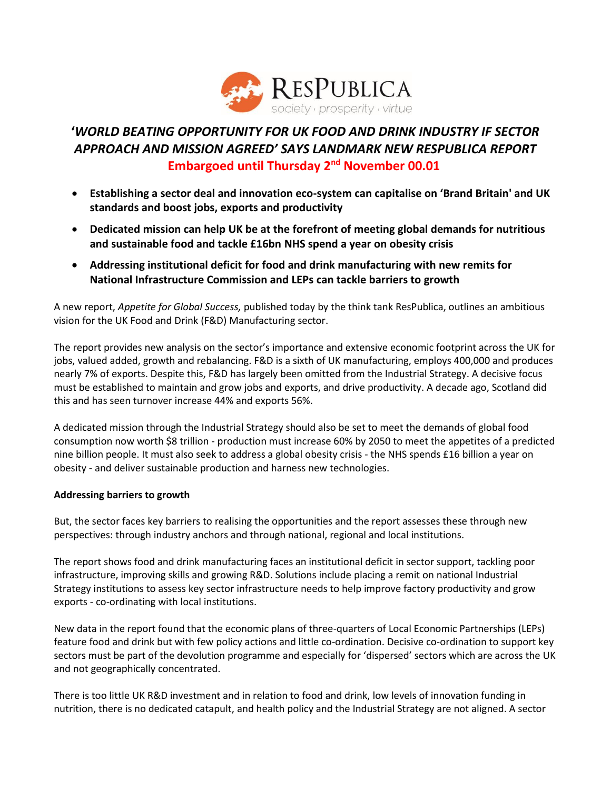

## **'***WORLD BEATING OPPORTUNITY FOR UK FOOD AND DRINK INDUSTRY IF SECTOR APPROACH AND MISSION AGREED' SAYS LANDMARK NEW RESPUBLICA REPORT* **Embargoed until Thursday 2nd November 00.01**

- **Establishing a sector deal and innovation eco-system can capitalise on 'Brand Britain' and UK standards and boost jobs, exports and productivity**
- **Dedicated mission can help UK be at the forefront of meeting global demands for nutritious and sustainable food and tackle £16bn NHS spend a year on obesity crisis**
- **Addressing institutional deficit for food and drink manufacturing with new remits for National Infrastructure Commission and LEPs can tackle barriers to growth**

A new report, *Appetite for Global Success,* published today by the think tank ResPublica, outlines an ambitious vision for the UK Food and Drink (F&D) Manufacturing sector.

The report provides new analysis on the sector's importance and extensive economic footprint across the UK for jobs, valued added, growth and rebalancing. F&D is a sixth of UK manufacturing, employs 400,000 and produces nearly 7% of exports. Despite this, F&D has largely been omitted from the Industrial Strategy. A decisive focus must be established to maintain and grow jobs and exports, and drive productivity. A decade ago, Scotland did this and has seen turnover increase 44% and exports 56%.

A dedicated mission through the Industrial Strategy should also be set to meet the demands of global food consumption now worth \$8 trillion - production must increase 60% by 2050 to meet the appetites of a predicted nine billion people. It must also seek to address a global obesity crisis - the NHS spends £16 billion a year on obesity - and deliver sustainable production and harness new technologies.

## **Addressing barriers to growth**

But, the sector faces key barriers to realising the opportunities and the report assesses these through new perspectives: through industry anchors and through national, regional and local institutions.

The report shows food and drink manufacturing faces an institutional deficit in sector support, tackling poor infrastructure, improving skills and growing R&D. Solutions include placing a remit on national Industrial Strategy institutions to assess key sector infrastructure needs to help improve factory productivity and grow exports - co-ordinating with local institutions.

New data in the report found that the economic plans of three-quarters of Local Economic Partnerships (LEPs) feature food and drink but with few policy actions and little co-ordination. Decisive co-ordination to support key sectors must be part of the devolution programme and especially for 'dispersed' sectors which are across the UK and not geographically concentrated.

There is too little UK R&D investment and in relation to food and drink, low levels of innovation funding in nutrition, there is no dedicated catapult, and health policy and the Industrial Strategy are not aligned. A sector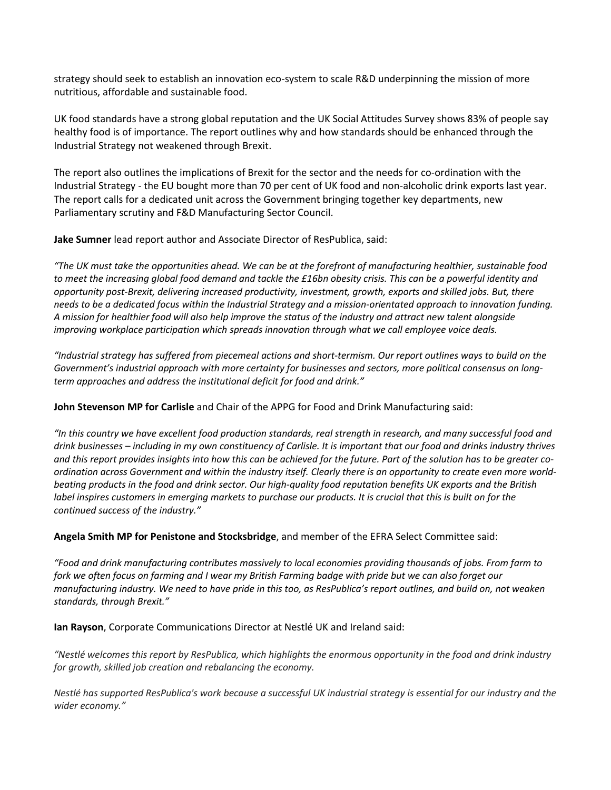strategy should seek to establish an innovation eco-system to scale R&D underpinning the mission of more nutritious, affordable and sustainable food.

UK food standards have a strong global reputation and the UK Social Attitudes Survey shows 83% of people say healthy food is of importance. The report outlines why and how standards should be enhanced through the Industrial Strategy not weakened through Brexit.

The report also outlines the implications of Brexit for the sector and the needs for co-ordination with the Industrial Strategy - the EU bought more than 70 per cent of UK food and non-alcoholic drink exports last year. The report calls for a dedicated unit across the Government bringing together key departments, new Parliamentary scrutiny and F&D Manufacturing Sector Council.

**Jake Sumner** lead report author and Associate Director of ResPublica, said:

*"The UK must take the opportunities ahead. We can be at the forefront of manufacturing healthier, sustainable food*  to meet the increasing global food demand and tackle the £16bn obesity crisis. This can be a powerful identity and *opportunity post-Brexit, delivering increased productivity, investment, growth, exports and skilled jobs. But, there needs to be a dedicated focus within the Industrial Strategy and a mission-orientated approach to innovation funding. A mission for healthier food will also help improve the status of the industry and attract new talent alongside improving workplace participation which spreads innovation through what we call employee voice deals.* 

*"Industrial strategy has suffered from piecemeal actions and short-termism. Our report outlines ways to build on the Government's industrial approach with more certainty for businesses and sectors, more political consensus on longterm approaches and address the institutional deficit for food and drink."*

**John Stevenson MP for Carlisle** and Chair of the APPG for Food and Drink Manufacturing said:

*"In this country we have excellent food production standards, real strength in research, and many successful food and drink businesses – including in my own constituency of Carlisle. It is important that our food and drinks industry thrives and this report provides insights into how this can be achieved for the future. Part of the solution has to be greater coordination across Government and within the industry itself. Clearly there is an opportunity to create even more worldbeating products in the food and drink sector. Our high-quality food reputation benefits UK exports and the British label inspires customers in emerging markets to purchase our products. It is crucial that this is built on for the continued success of the industry."*

**Angela Smith MP for Penistone and Stocksbridge**, and member of the EFRA Select Committee said:

*"Food and drink manufacturing contributes massively to local economies providing thousands of jobs. From farm to fork we often focus on farming and I wear my British Farming badge with pride but we can also forget our manufacturing industry. We need to have pride in this too, as ResPublica's report outlines, and build on, not weaken standards, through Brexit."*

**Ian Rayson**, Corporate Communications Director at Nestlé UK and Ireland said:

*"Nestlé welcomes this report by ResPublica, which highlights the enormous opportunity in the food and drink industry for growth, skilled job creation and rebalancing the economy.*

*Nestlé has supported ResPublica's work because a successful UK industrial strategy is essential for our industry and the wider economy."*